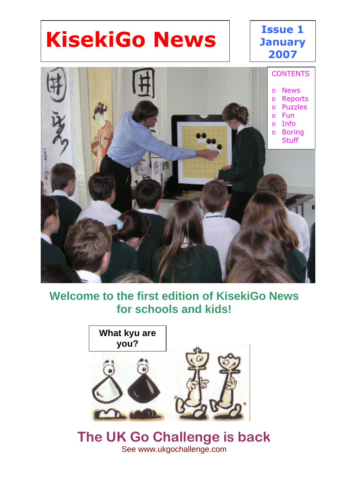# **KisekiGo News**

#### **Issue 1 January 2007**



#### **Welcome to the first edition of KisekiGo News for schools and kids!**



#### **The UK Go Challenge is back** See www.ukgochallenge.com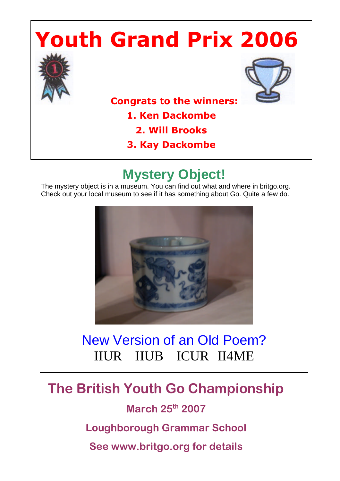# **Youth Grand Prix 2006**





 **Congrats to the winners:** 

**1. Ken Dackombe**

- **2. Will Brooks**
- **3. Kay Dackombe**

# **Mystery Object!**

The mystery object is in a museum. You can find out what and where in britgo.org. Check out your local museum to see if it has something about Go. Quite a few do.



### New Version of an Old Poem? IIUR IIUB ICUR II4ME

## **The British Youth Go Championship**

**March 25th 2007**

**Loughborough Grammar School**

**See www.britgo.org for details**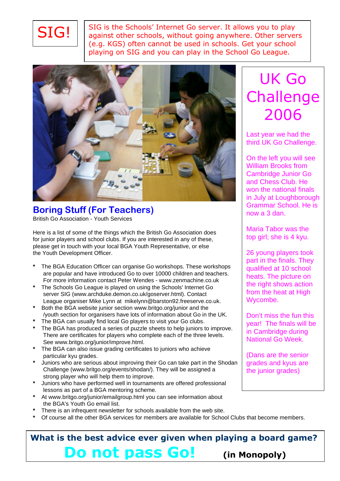

SIG is the Schools' Internet Go server. It allows you to play against other schools, without going anywhere. Other servers (e.g. KGS) often cannot be used in schools. Get your school playing on SIG and you can play in the School Go League.



#### **Boring Stuff (For Teachers)** British Go Association - Youth Services

Here is a list of some of the things which the British Go Association does for junior players and school clubs. If you are interested in any of these, please get in touch with your local BGA Youth Representative, or else the Youth Development Officer.

- **\*** The BGA Education Officer can organise Go workshops. These workshops are popular and have introduced Go to over 10000 children and teachers. For more information contact Peter Wendes - www.zenmachine.co.uk
- **\*** The Schools Go League is played on using the Schools' Internet Go server SIG (www.archduke.demon.co.uk/goserver.html). Contact League organiser Mike Lynn at mikelynn@barston92.freeserve.co.uk.
- **\*** Both the BGA website junior section www.britgo.org/junior and the /youth section for organisers have lots of information about Go in the UK.
- **\*** The BGA can usually find local Go players to visit your Go clubs.
- **\*** The BGA has produced a series of puzzle sheets to help juniors to improve. There are certificates for players who complete each of the three levels. See www.britgo.org/junior/improve.html.
- **\*** The BGA can also issue grading certificates to juniors who achieve particular kyu grades.
- **\*** Juniors who are serious about improving their Go can take part in the Shodan Challenge (www.britgo.org/events/shodan/). They will be assigned a strong player who will help them to improve.
- **\*** Juniors who have performed well in tournaments are offered professional lessons as part of a BGA mentoring scheme.
- **\*** At www.britgo.org/junior/emailgroup.html you can see information about the BGA's Youth Go email list.
- **\*** There is an infrequent newsletter for schools available from the web site.
- **\*** Of course all the other BGA services for members are available for School Clubs that become members.

### **What is the best advice ever given when playing a board game? Do not pass Go! (in Monopoly)**

# UK Go **Challenge** 2006

Last year we had the third UK Go Challenge.

On the left you will see William Brooks from Cambridge Junior Go and Chess Club. He won the national finals in July at Loughborough Grammar School. He is now a 3 dan.

Maria Tabor was the top girl; she is 4 kyu.

26 young players took part in the finals. They qualified at 10 school heats. The picture on the right shows action from the heat at High Wycombe.

Don't miss the fun this year! The finals will be in Cambridge during National Go Week.

(Dans are the senior grades and kyus are the junior grades)